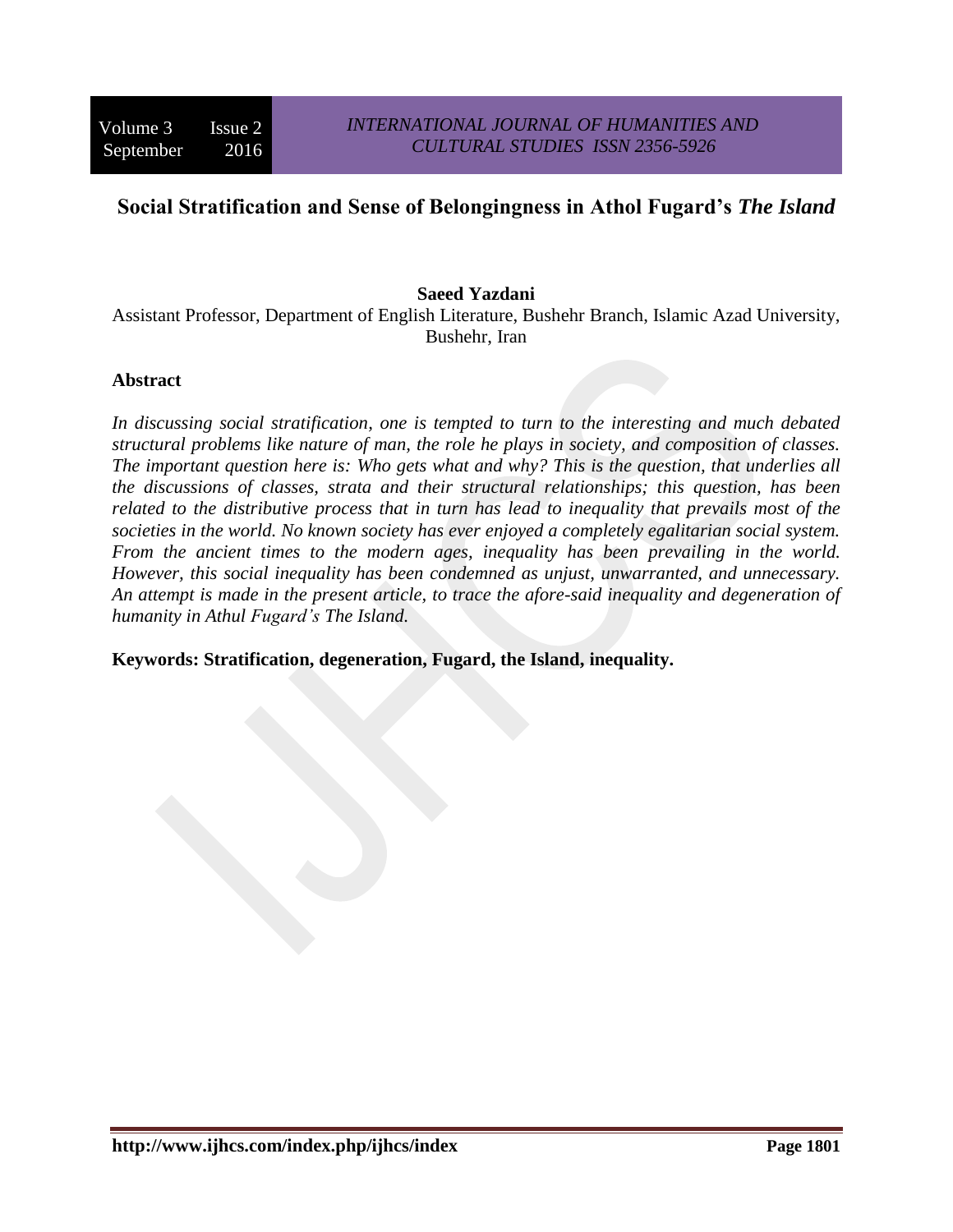# **Social Stratification and Sense of Belongingness in Athol Fugard's** *The Island*

### **Saeed Yazdani**

Assistant Professor, Department of English Literature, Bushehr Branch, Islamic Azad University, Bushehr, Iran

#### **Abstract**

*In discussing social stratification, one is tempted to turn to the interesting and much debated structural problems like nature of man, the role he plays in society, and composition of classes. The important question here is: Who gets what and why? This is the question, that underlies all the discussions of classes, strata and their structural relationships; this question, has been related to the distributive process that in turn has lead to inequality that prevails most of the societies in the world. No known society has ever enjoyed a completely egalitarian social system. From the ancient times to the modern ages, inequality has been prevailing in the world. However, this social inequality has been condemned as unjust, unwarranted, and unnecessary. An attempt is made in the present article, to trace the afore-said inequality and degeneration of humanity in Athul Fugard's The Island.* 

**Keywords: Stratification, degeneration, Fugard, the Island, inequality.**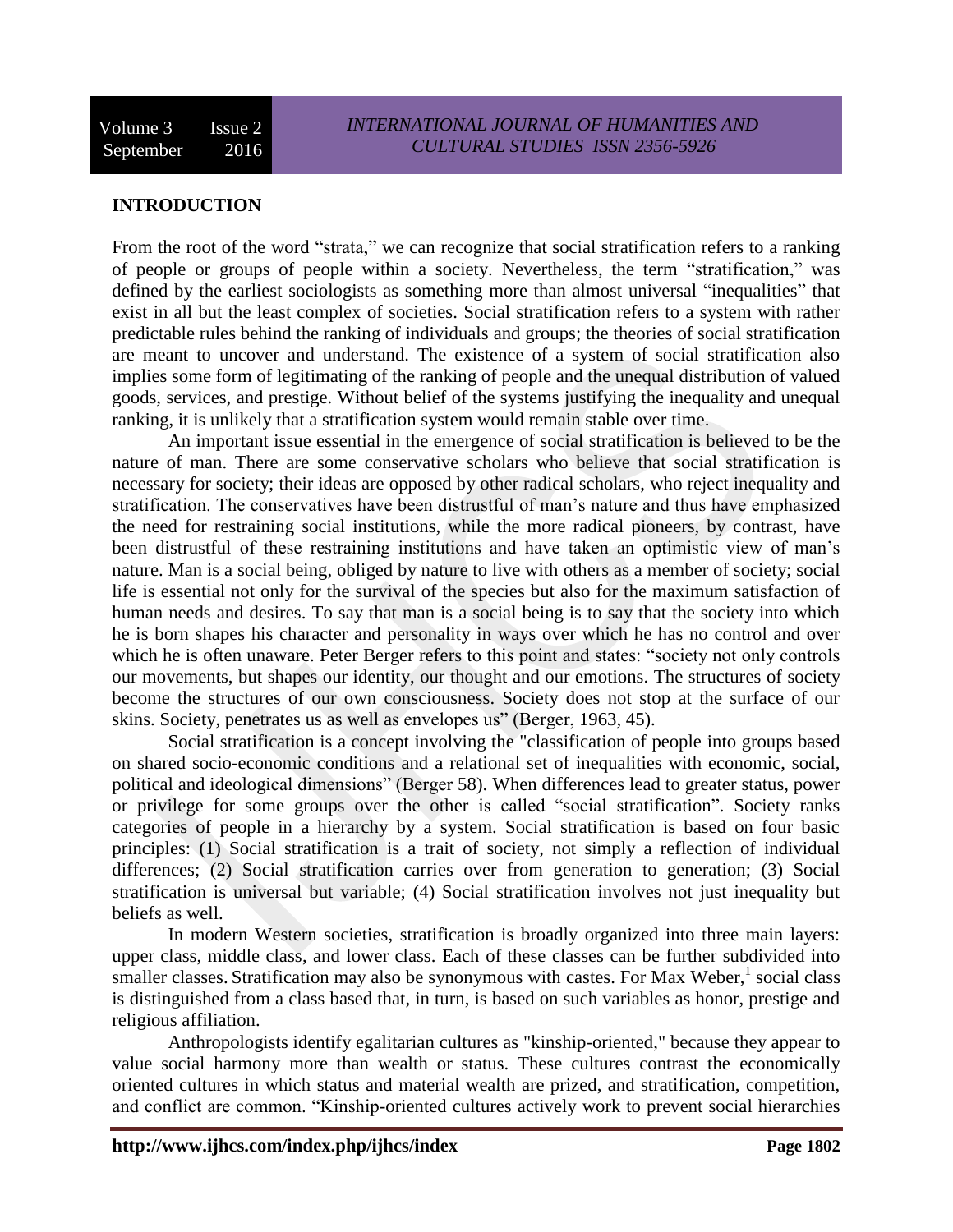# **INTRODUCTION**

From the root of the word "strata," we can recognize that social stratification refers to a ranking of people or groups of people within a society. Nevertheless, the term "stratification," was defined by the earliest sociologists as something more than almost universal "inequalities" that exist in all but the least complex of societies. Social stratification refers to a system with rather predictable rules behind the ranking of individuals and groups; the theories of social stratification are meant to uncover and understand. The existence of a system of social stratification also implies some form of legitimating of the ranking of people and the unequal distribution of valued goods, services, and prestige. Without belief of the systems justifying the inequality and unequal ranking, it is unlikely that a stratification system would remain stable over time.

An important issue essential in the emergence of social stratification is believed to be the nature of man. There are some conservative scholars who believe that social stratification is necessary for society; their ideas are opposed by other radical scholars, who reject inequality and stratification. The conservatives have been distrustful of man's nature and thus have emphasized the need for restraining social institutions, while the more radical pioneers, by contrast, have been distrustful of these restraining institutions and have taken an optimistic view of man's nature. Man is a social being, obliged by nature to live with others as a member of society; social life is essential not only for the survival of the species but also for the maximum satisfaction of human needs and desires. To say that man is a social being is to say that the society into which he is born shapes his character and personality in ways over which he has no control and over which he is often unaware. Peter Berger refers to this point and states: "society not only controls our movements, but shapes our identity, our thought and our emotions. The structures of society become the structures of our own consciousness. Society does not stop at the surface of our skins. Society, penetrates us as well as envelopes us" (Berger, 1963, 45).

Social stratification is a concept involving the "classification of people into groups based on shared socio-economic conditions and a relational set of inequalities with economic, social, political and ideological dimensions" (Berger 58). When differences lead to greater status, power or privilege for some groups over the other is called "social stratification". Society ranks categories of people in a hierarchy by a system. Social stratification is based on four basic principles: (1) Social stratification is a trait of society, not simply a reflection of individual differences; (2) Social stratification carries over from generation to generation; (3) Social stratification is universal but variable; (4) Social stratification involves not just inequality but beliefs as well.

In modern [Western societies,](http://en.wikipedia.org/wiki/Western_culture) stratification is broadly organized into three main layers: [upper class,](http://en.wikipedia.org/wiki/Upper_class) [middle class,](http://en.wikipedia.org/wiki/Middle_class) and [lower class.](http://en.wikipedia.org/wiki/Lower_class) Each of these classes can be further subdivided into smaller classes. Stratification may also be synonymous with [castes.](http://en.wikipedia.org/wiki/Caste) For [Max Weber,](http://en.wikipedia.org/wiki/Max_Weber)<sup>1</sup> social class is distinguished from a class based that, in turn, is based on such variables as honor, prestige and religious affiliation.

[Anthropologists](http://en.wikipedia.org/wiki/Anthropology) identify egalitarian cultures as ["kinship-](http://en.wikipedia.org/wiki/Kinship)oriented," because they appear to value social harmony more than wealth or status. These cultures contrast the economically oriented cultures in which status and material wealth are prized, and stratification, competition, and conflict are common. "Kinship-oriented cultures actively work to prevent social hierarchies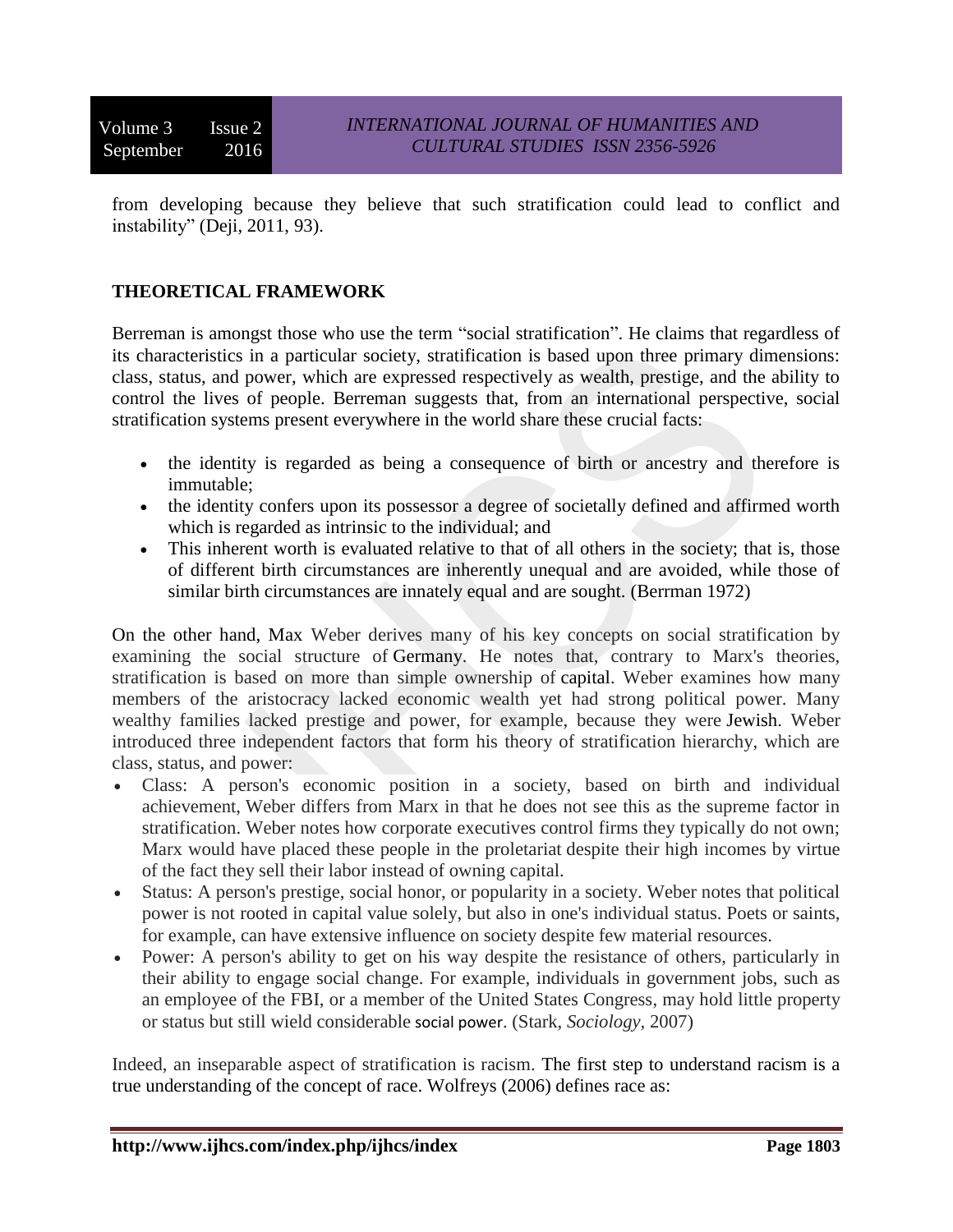Volume 3 Issue 2 September 2016

from developing because they believe that such stratification could lead to conflict and instability" (Deji, 2011, 93).

## **THEORETICAL FRAMEWORK**

Berreman is amongst those who use the term "social stratification". He claims that regardless of its characteristics in a particular society, stratification is based upon three primary dimensions: class, status, and power, which are expressed respectively as wealth, prestige, and the ability to control the lives of people. Berreman suggests that, from an international perspective, social stratification systems present everywhere in the world share these crucial facts:

- the identity is regarded as being a consequence of birth or ancestry and therefore is immutable;
- the identity confers upon its possessor a degree of societally defined and affirmed worth which is regarded as intrinsic to the individual; and
- This inherent worth is evaluated relative to that of all others in the society; that is, those of different birth circumstances are inherently unequal and are avoided, while those of similar birth circumstances are innately equal and are sought. (Berrman 1972)

On the other hand, Max Weber derives many of his key concepts on social stratification by examining the social structure of Germany. He notes that, contrary to Marx's theories, stratification is based on more than simple ownership of capital. Weber examines how many members of the aristocracy lacked economic wealth yet had strong political power. Many wealthy families lacked prestige and power, for example, because they were Jewish. Weber introduced three independent factors that form his theory of stratification hierarchy, which are class, status, and power:

- Class: A person's economic position in a society, based on birth and individual achievement, Weber differs from Marx in that he does not see this as the supreme factor in stratification. Weber notes how corporate executives control firms they typically do not own; Marx would have placed these people in the proletariat despite their high incomes by virtue of the fact they sell their labor instead of owning capital.
- Status: A person's prestige, social honor, or popularity in a society. Weber notes that political power is not rooted in capital value solely, but also in one's individual status. Poets or saints, for example, can have extensive influence on society despite few material resources.
- Power: A person's ability to get on his way despite the resistance of others, particularly in their ability to engage social change. For example, individuals in government jobs, such as an employee of the FBI, or a member of the United States Congress, may hold little property or status but still wield considerable social power. (Stark, *Sociology,* 2007)

Indeed, an inseparable aspect of stratification is racism. The first step to understand racism is a true understanding of the concept of race. Wolfreys (2006) defines race as: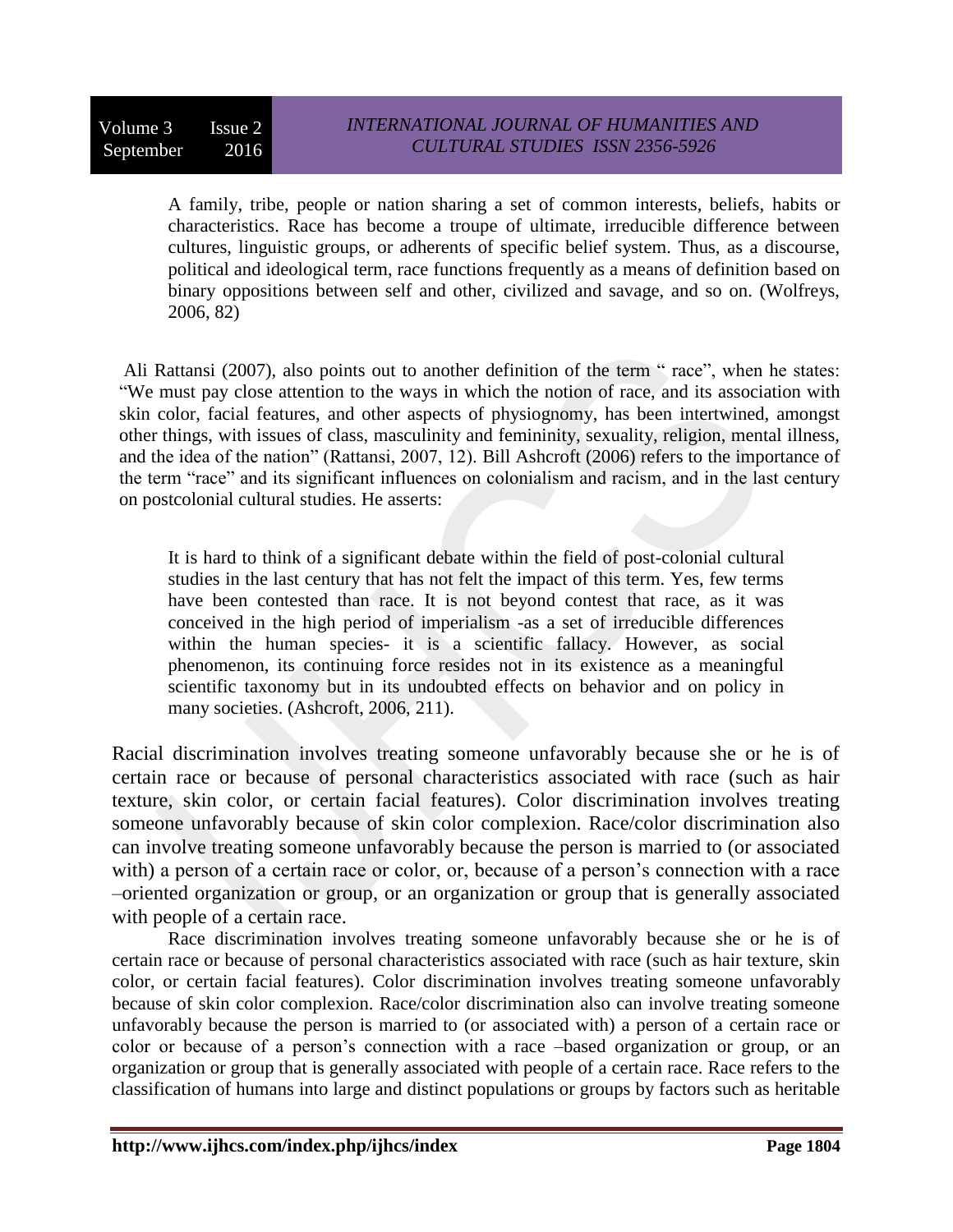A family, tribe, people or nation sharing a set of common interests, beliefs, habits or characteristics. Race has become a troupe of ultimate, irreducible difference between cultures, linguistic groups, or adherents of specific belief system. Thus, as a discourse, political and ideological term, race functions frequently as a means of definition based on binary oppositions between self and other, civilized and savage, and so on. (Wolfreys, 2006, 82)

Ali Rattansi (2007), also points out to another definition of the term " race", when he states: "We must pay close attention to the ways in which the notion of race, and its association with skin color, facial features, and other aspects of physiognomy, has been intertwined, amongst other things, with issues of class, masculinity and femininity, sexuality, religion, mental illness, and the idea of the nation" (Rattansi, 2007, 12). Bill Ashcroft (2006) refers to the importance of the term "race" and its significant influences on colonialism and racism, and in the last century on postcolonial cultural studies. He asserts:

It is hard to think of a significant debate within the field of post-colonial cultural studies in the last century that has not felt the impact of this term. Yes, few terms have been contested than race. It is not beyond contest that race, as it was conceived in the high period of imperialism -as a set of irreducible differences within the human species- it is a scientific fallacy. However, as social phenomenon, its continuing force resides not in its existence as a meaningful scientific taxonomy but in its undoubted effects on behavior and on policy in many societies. (Ashcroft, 2006, 211).

Racial discrimination involves treating someone unfavorably because she or he is of certain race or because of personal characteristics associated with race (such as hair texture, skin color, or certain facial features). Color discrimination involves treating someone unfavorably because of skin color complexion. Race/color discrimination also can involve treating someone unfavorably because the person is married to (or associated with) a person of a certain race or color, or, because of a person's connection with a race –oriented organization or group, or an organization or group that is generally associated with people of a certain race.

Race discrimination involves treating someone unfavorably because she or he is of certain race or because of personal characteristics associated with race (such as hair texture, skin color, or certain facial features). Color discrimination involves treating someone unfavorably because of skin color complexion. Race/color discrimination also can involve treating someone unfavorably because the person is married to (or associated with) a person of a certain race or color or because of a person's connection with a race –based organization or group, or an organization or group that is generally associated with people of a certain race. Race refers to the classification of humans into large and distinct populations or groups by factors such as heritable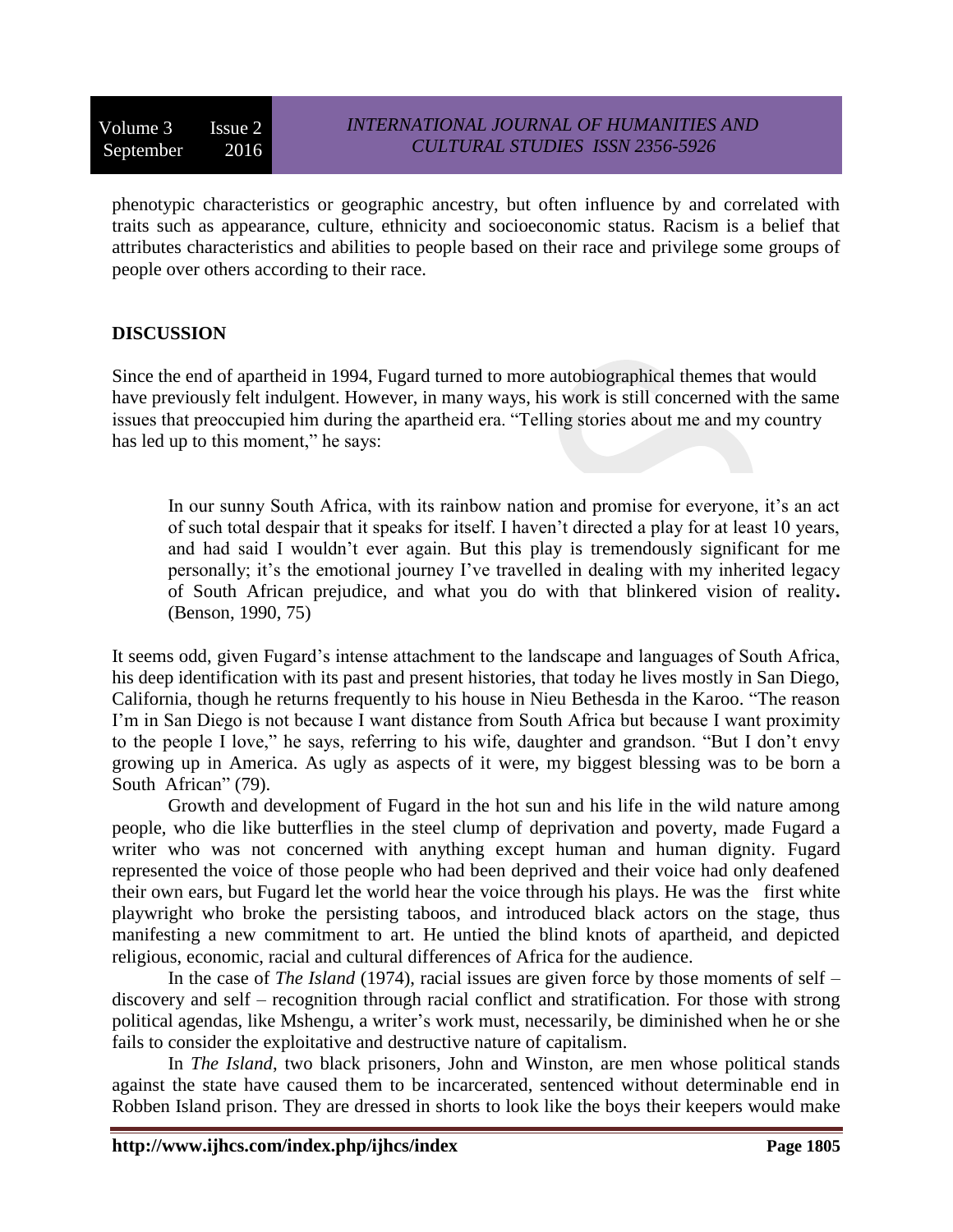phenotypic characteristics or geographic ancestry, but often influence by and correlated with traits such as appearance, culture, ethnicity and socioeconomic status. Racism is a belief that attributes characteristics and abilities to people based on their race and privilege some groups of people over others according to their race.

### **DISCUSSION**

Since the end of apartheid in 1994, Fugard turned to more autobiographical themes that would have previously felt indulgent. However, in many ways, his work is still concerned with the same issues that preoccupied him during the apartheid era. "Telling stories about me and my country has led up to this moment," he says:

In our sunny South Africa, with its rainbow nation and promise for everyone, it's an act of such total despair that it speaks for itself. I haven't directed a play for at least 10 years, and had said I wouldn't ever again. But this play is tremendously significant for me personally; it's the emotional journey I've travelled in dealing with my inherited legacy of South African prejudice, and what you do with that blinkered vision of reality**.**  (Benson, 1990, 75)

It seems odd, given Fugard's intense attachment to the landscape and languages of South Africa, his deep identification with its past and present histories, that today he lives mostly in San Diego, California, though he returns frequently to his house in Nieu Bethesda in the Karoo. "The reason I'm in San Diego is not because I want distance from South Africa but because I want proximity to the people I love," he says, referring to his wife, daughter and grandson. "But I don't envy growing up in America. As ugly as aspects of it were, my biggest blessing was to be born a South African" (79).

Growth and development of Fugard in the hot sun and his life in the wild nature among people, who die like butterflies in the steel clump of deprivation and poverty, made Fugard a writer who was not concerned with anything except human and human dignity. Fugard represented the voice of those people who had been deprived and their voice had only deafened their own ears, but Fugard let the world hear the voice through his plays. He was the first white playwright who broke the persisting taboos, and introduced black actors on the stage, thus manifesting a new commitment to art. He untied the blind knots of apartheid, and depicted religious, economic, racial and cultural differences of Africa for the audience.

In the case of *The Island* (1974), racial issues are given force by those moments of self – discovery and self – recognition through racial conflict and stratification. For those with strong political agendas, like Mshengu, a writer's work must, necessarily, be diminished when he or she fails to consider the exploitative and destructive nature of capitalism.

In *The Island*, two black prisoners, John and Winston, are men whose political stands against the state have caused them to be incarcerated, sentenced without determinable end in Robben Island prison. They are dressed in shorts to look like the boys their keepers would make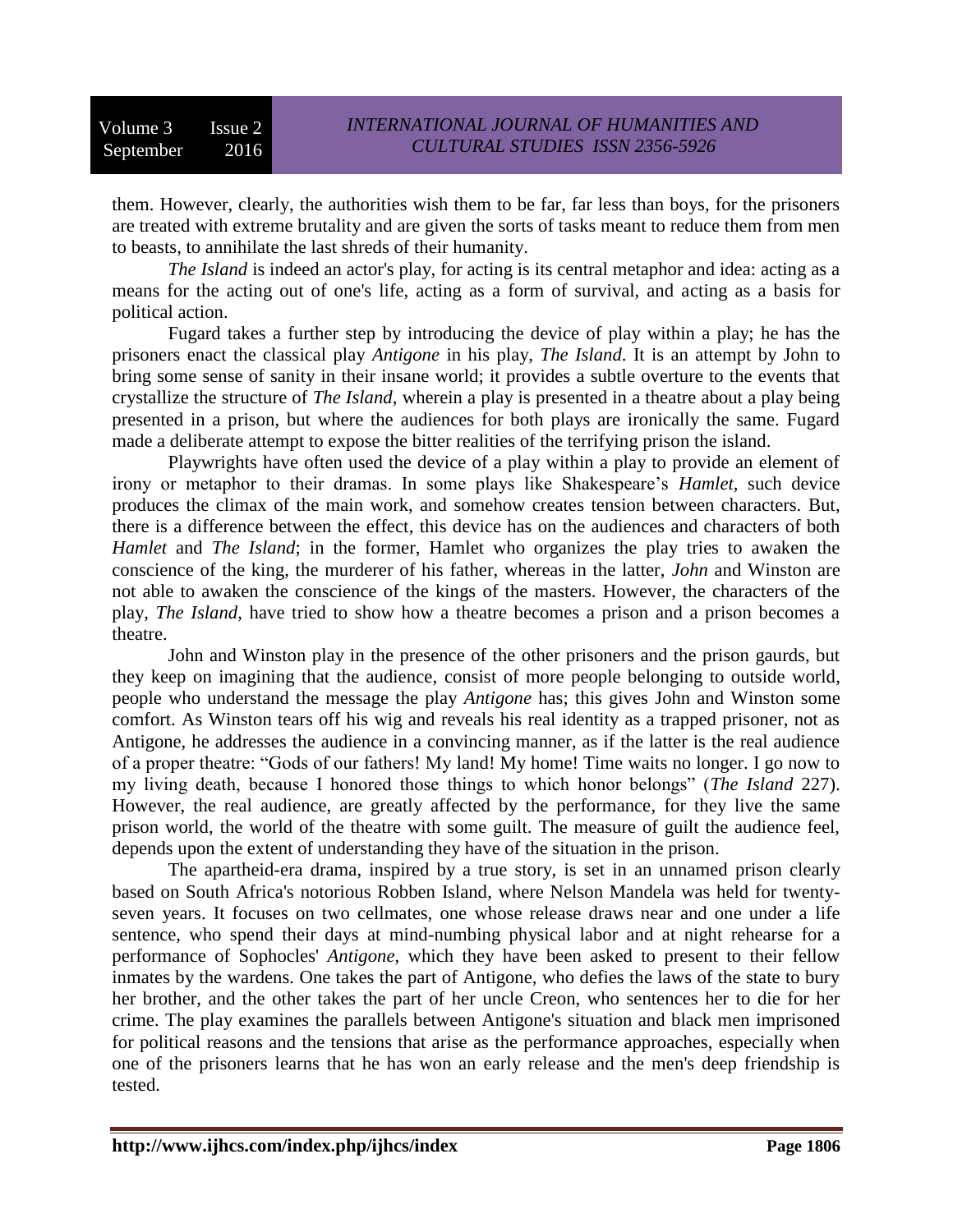them. However, clearly, the authorities wish them to be far, far less than boys, for the prisoners are treated with extreme brutality and are given the sorts of tasks meant to reduce them from men to beasts, to annihilate the last shreds of their humanity.

*The Island* is indeed an actor's play, for acting is its central metaphor and idea: acting as a means for the acting out of one's life, acting as a form of survival, and acting as a basis for political action.

Fugard takes a further step by introducing the device of play within a play; he has the prisoners enact the classical play *Antigone* in his play, *The Island*. It is an attempt by John to bring some sense of sanity in their insane world; it provides a subtle overture to the events that crystallize the structure of *The Island*, wherein a play is presented in a theatre about a play being presented in a prison, but where the audiences for both plays are ironically the same. Fugard made a deliberate attempt to expose the bitter realities of the terrifying prison the island.

Playwrights have often used the device of a play within a play to provide an element of irony or metaphor to their dramas. In some plays like Shakespeare's *Hamlet*, such device produces the climax of the main work, and somehow creates tension between characters. But, there is a difference between the effect, this device has on the audiences and characters of both *Hamlet* and *The Island*; in the former, Hamlet who organizes the play tries to awaken the conscience of the king, the murderer of his father, whereas in the latter, *John* and Winston are not able to awaken the conscience of the kings of the masters. However, the characters of the play, *The Island*, have tried to show how a theatre becomes a prison and a prison becomes a theatre.

John and Winston play in the presence of the other prisoners and the prison gaurds, but they keep on imagining that the audience, consist of more people belonging to outside world, people who understand the message the play *Antigone* has; this gives John and Winston some comfort. As Winston tears off his wig and reveals his real identity as a trapped prisoner, not as Antigone, he addresses the audience in a convincing manner, as if the latter is the real audience of a proper theatre: "Gods of our fathers! My land! My home! Time waits no longer. I go now to my living death, because I honored those things to which honor belongs" (*The Island* 227). However, the real audience, are greatly affected by the performance, for they live the same prison world, the world of the theatre with some guilt. The measure of guilt the audience feel, depends upon the extent of understanding they have of the situation in the prison.

The [apartheid-](http://en.wikipedia.org/wiki/Apartheid)era drama, inspired by a true story, is set in an unnamed prison clearly based on [South Africa'](http://en.wikipedia.org/wiki/South_Africa)s notorious [Robben Island,](http://en.wikipedia.org/wiki/Robben_Island) where [Nelson Mandela](http://en.wikipedia.org/wiki/Nelson_Mandela) was held for twentyseven years. It focuses on two cellmates, one whose release draws near and one under a [life](http://en.wikipedia.org/wiki/Life_sentence)  [sentence,](http://en.wikipedia.org/wiki/Life_sentence) who spend their days at mind-numbing physical labor and at night rehearse for a performance of [Sophocles'](http://en.wikipedia.org/wiki/Sophocles) *[Antigone](http://en.wikipedia.org/wiki/Antigone_(Sophocles))*, which they have been asked to present to their fellow inmates by the wardens. One takes the part of Antigone, who defies the laws of the state to bury her brother, and the other takes the part of her uncle Creon, who sentences her to die for her crime. The play examines the parallels between Antigone's situation and black men imprisoned for political reasons and the tensions that arise as the performance approaches, especially when one of the prisoners learns that he has won an early release and the men's deep friendship is tested.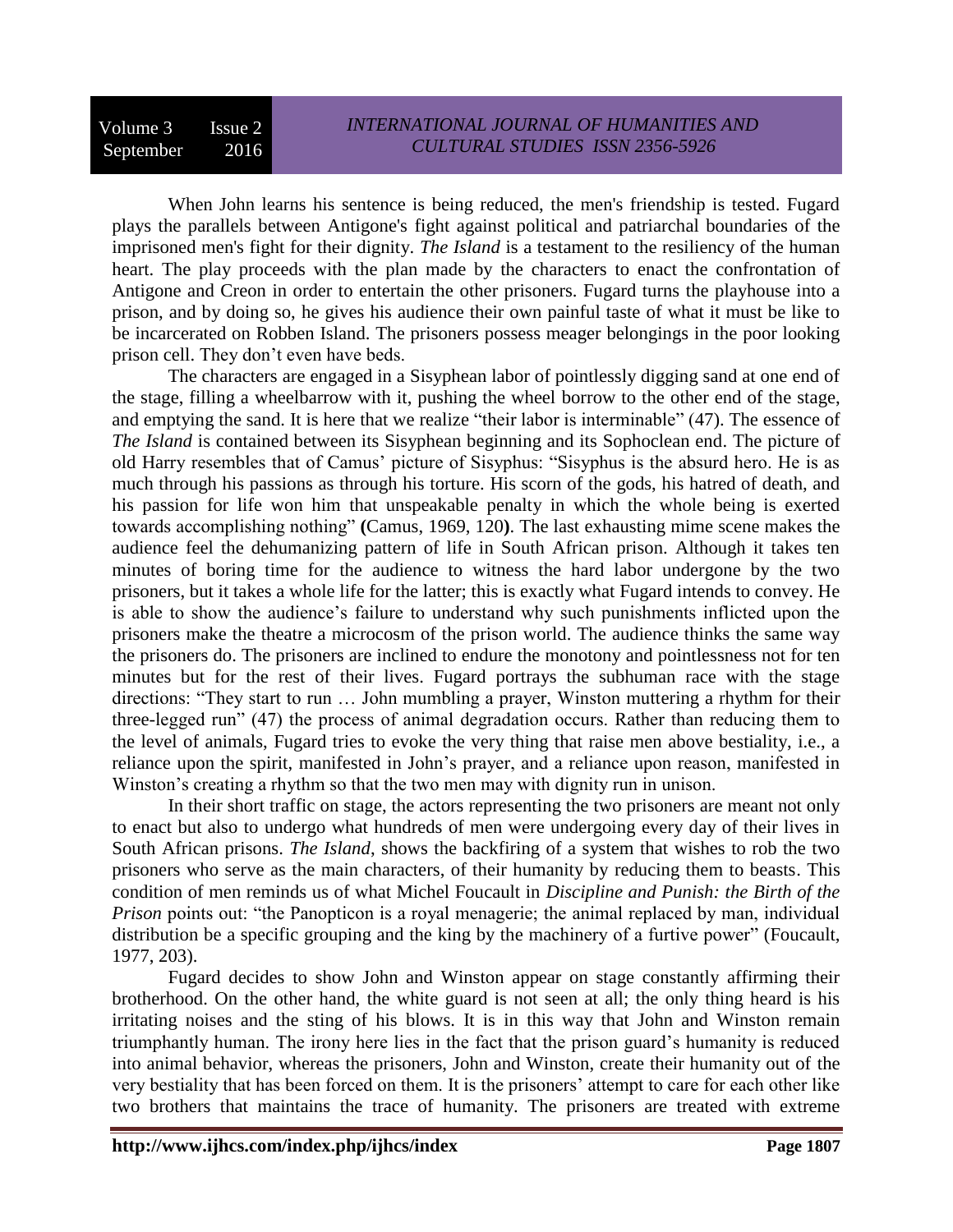When John learns his sentence is being reduced, the men's friendship is tested. Fugard plays the parallels between Antigone's fight against political and patriarchal boundaries of the imprisoned men's fight for their dignity. *The Island* is a testament to the resiliency of the human heart. The play proceeds with the plan made by the characters to enact the confrontation of Antigone and Creon in order to entertain the other prisoners. Fugard turns the playhouse into a prison, and by doing so, he gives his audience their own painful taste of what it must be like to be incarcerated on Robben Island. The prisoners possess meager belongings in the poor looking prison cell. They don't even have beds.

The characters are engaged in a Sisyphean labor of pointlessly digging sand at one end of the stage, filling a wheelbarrow with it, pushing the wheel borrow to the other end of the stage, and emptying the sand. It is here that we realize "their labor is interminable" (47). The essence of *The Island* is contained between its Sisyphean beginning and its Sophoclean end. The picture of old Harry resembles that of Camus' picture of Sisyphus: "Sisyphus is the absurd hero. He is as much through his passions as through his torture. His scorn of the gods, his hatred of death, and his passion for life won him that unspeakable penalty in which the whole being is exerted towards accomplishing nothing" **(**Camus, 1969, 120**)**. The last exhausting mime scene makes the audience feel the dehumanizing pattern of life in South African prison. Although it takes ten minutes of boring time for the audience to witness the hard labor undergone by the two prisoners, but it takes a whole life for the latter; this is exactly what Fugard intends to convey. He is able to show the audience's failure to understand why such punishments inflicted upon the prisoners make the theatre a microcosm of the prison world. The audience thinks the same way the prisoners do. The prisoners are inclined to endure the monotony and pointlessness not for ten minutes but for the rest of their lives. Fugard portrays the subhuman race with the stage directions: "They start to run … John mumbling a prayer, Winston muttering a rhythm for their three-legged run" (47) the process of animal degradation occurs. Rather than reducing them to the level of animals, Fugard tries to evoke the very thing that raise men above bestiality, i.e., a reliance upon the spirit, manifested in John's prayer, and a reliance upon reason, manifested in Winston's creating a rhythm so that the two men may with dignity run in unison.

In their short traffic on stage, the actors representing the two prisoners are meant not only to enact but also to undergo what hundreds of men were undergoing every day of their lives in South African prisons. *The Island*, shows the backfiring of a system that wishes to rob the two prisoners who serve as the main characters, of their humanity by reducing them to beasts. This condition of men reminds us of what Michel Foucault in *Discipline and Punish: the Birth of the Prison* points out: "the Panopticon is a royal menagerie; the animal replaced by man, individual distribution be a specific grouping and the king by the machinery of a furtive power" (Foucault, 1977, 203).

Fugard decides to show John and Winston appear on stage constantly affirming their brotherhood. On the other hand, the white guard is not seen at all; the only thing heard is his irritating noises and the sting of his blows. It is in this way that John and Winston remain triumphantly human. The irony here lies in the fact that the prison guard's humanity is reduced into animal behavior, whereas the prisoners, John and Winston, create their humanity out of the very bestiality that has been forced on them. It is the prisoners' attempt to care for each other like two brothers that maintains the trace of humanity. The prisoners are treated with extreme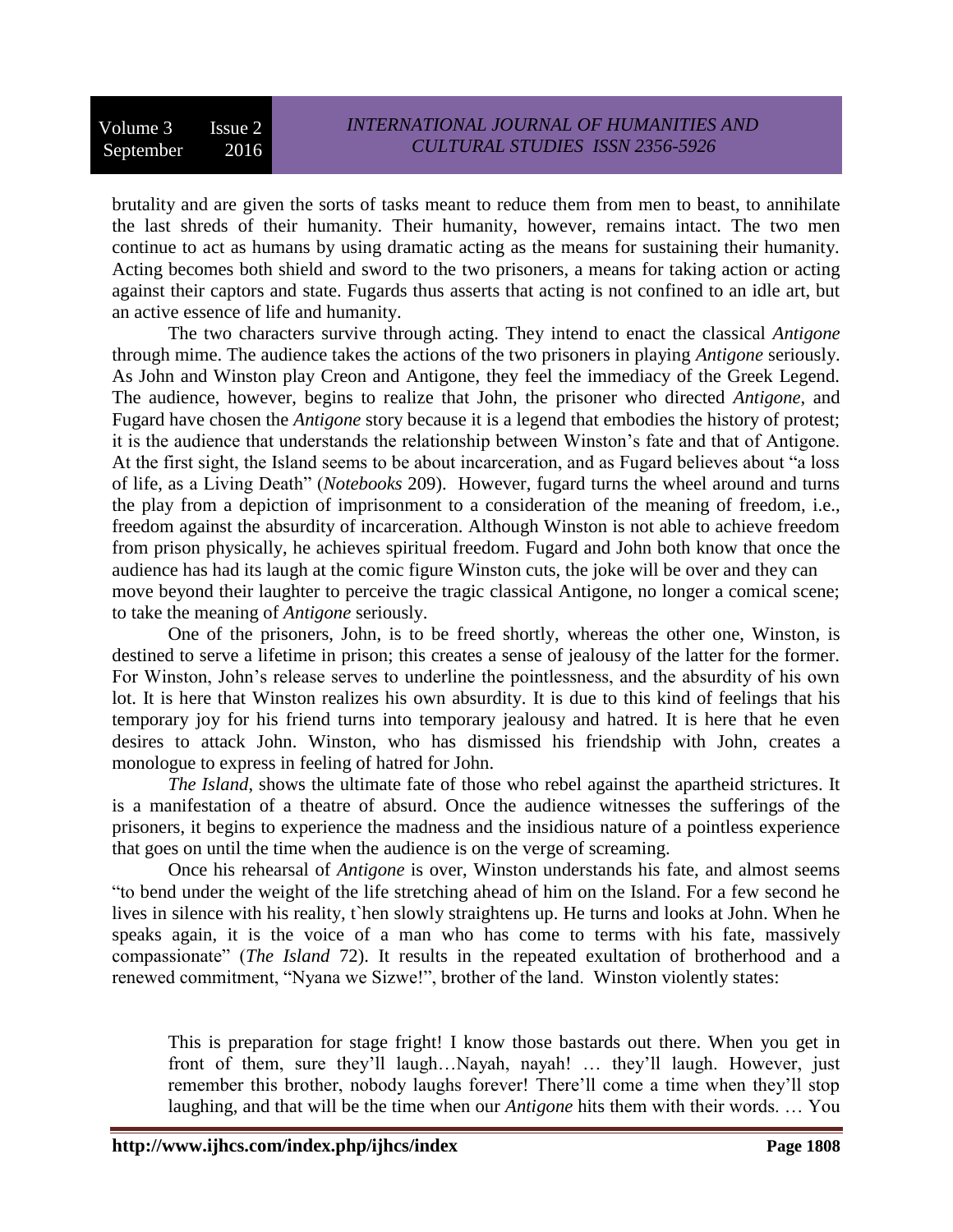brutality and are given the sorts of tasks meant to reduce them from men to beast, to annihilate the last shreds of their humanity. Their humanity, however, remains intact. The two men continue to act as humans by using dramatic acting as the means for sustaining their humanity. Acting becomes both shield and sword to the two prisoners, a means for taking action or acting against their captors and state. Fugards thus asserts that acting is not confined to an idle art, but an active essence of life and humanity.

The two characters survive through acting. They intend to enact the classical *Antigone* through mime. The audience takes the actions of the two prisoners in playing *Antigone* seriously. As John and Winston play Creon and Antigone, they feel the immediacy of the Greek Legend. The audience, however, begins to realize that John, the prisoner who directed *Antigone*, and Fugard have chosen the *Antigone* story because it is a legend that embodies the history of protest; it is the audience that understands the relationship between Winston's fate and that of Antigone. At the first sight, the Island seems to be about incarceration, and as Fugard believes about "a loss of life, as a Living Death" (*Notebooks* 209). However, fugard turns the wheel around and turns the play from a depiction of imprisonment to a consideration of the meaning of freedom, i.e., freedom against the absurdity of incarceration. Although Winston is not able to achieve freedom from prison physically, he achieves spiritual freedom. Fugard and John both know that once the audience has had its laugh at the comic figure Winston cuts, the joke will be over and they can move beyond their laughter to perceive the tragic classical Antigone, no longer a comical scene; to take the meaning of *Antigone* seriously.

One of the prisoners, John, is to be freed shortly, whereas the other one, Winston, is destined to serve a lifetime in prison; this creates a sense of jealousy of the latter for the former. For Winston, John's release serves to underline the pointlessness, and the absurdity of his own lot. It is here that Winston realizes his own absurdity. It is due to this kind of feelings that his temporary joy for his friend turns into temporary jealousy and hatred. It is here that he even desires to attack John. Winston, who has dismissed his friendship with John, creates a monologue to express in feeling of hatred for John.

*The Island*, shows the ultimate fate of those who rebel against the apartheid strictures. It is a manifestation of a theatre of absurd. Once the audience witnesses the sufferings of the prisoners, it begins to experience the madness and the insidious nature of a pointless experience that goes on until the time when the audience is on the verge of screaming.

Once his rehearsal of *Antigone* is over, Winston understands his fate, and almost seems "to bend under the weight of the life stretching ahead of him on the Island. For a few second he lives in silence with his reality, t`hen slowly straightens up. He turns and looks at John. When he speaks again, it is the voice of a man who has come to terms with his fate, massively compassionate" (*The Island* 72). It results in the repeated exultation of brotherhood and a renewed commitment, "Nyana we Sizwe!", brother of the land. Winston violently states:

This is preparation for stage fright! I know those bastards out there. When you get in front of them, sure they'll laugh…Nayah, nayah! … they'll laugh. However, just remember this brother, nobody laughs forever! There'll come a time when they'll stop laughing, and that will be the time when our *Antigone* hits them with their words. … You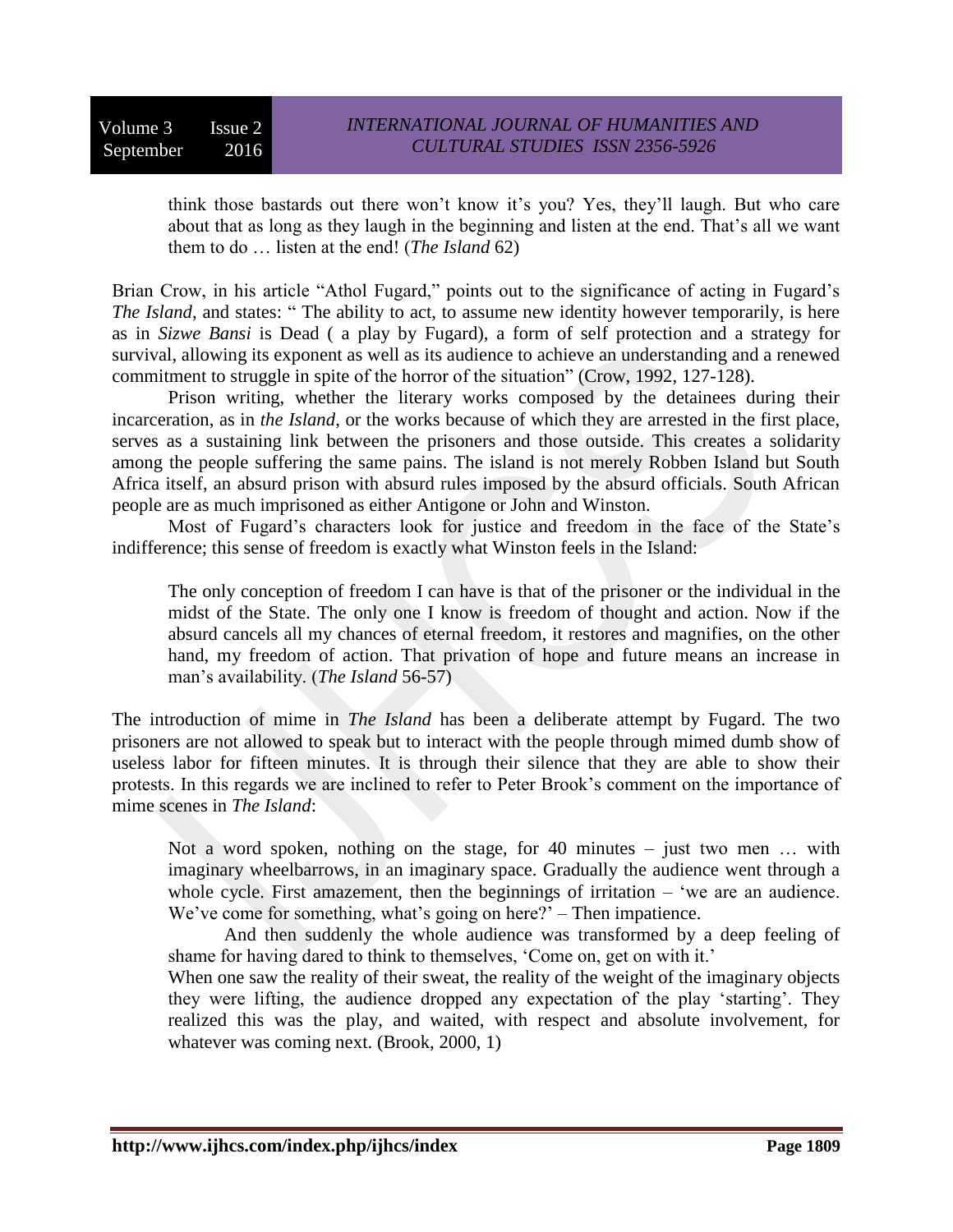Volume 3 Issue 2 September 2016

think those bastards out there won't know it's you? Yes, they'll laugh. But who care about that as long as they laugh in the beginning and listen at the end. That's all we want them to do … listen at the end! (*The Island* 62)

Brian Crow, in his article "Athol Fugard," points out to the significance of acting in Fugard's *The Island*, and states: " The ability to act, to assume new identity however temporarily, is here as in *Sizwe Bansi* is Dead ( a play by Fugard), a form of self protection and a strategy for survival, allowing its exponent as well as its audience to achieve an understanding and a renewed commitment to struggle in spite of the horror of the situation" (Crow, 1992, 127-128).

Prison writing, whether the literary works composed by the detainees during their incarceration, as in *the Island*, or the works because of which they are arrested in the first place, serves as a sustaining link between the prisoners and those outside. This creates a solidarity among the people suffering the same pains. The island is not merely Robben Island but South Africa itself, an absurd prison with absurd rules imposed by the absurd officials. South African people are as much imprisoned as either Antigone or John and Winston.

Most of Fugard's characters look for justice and freedom in the face of the State's indifference; this sense of freedom is exactly what Winston feels in the Island:

The only conception of freedom I can have is that of the prisoner or the individual in the midst of the State. The only one I know is freedom of thought and action. Now if the absurd cancels all my chances of eternal freedom, it restores and magnifies, on the other hand, my freedom of action. That privation of hope and future means an increase in man's availability. (*The Island* 56-57)

The introduction of mime in *The Island* has been a deliberate attempt by Fugard. The two prisoners are not allowed to speak but to interact with the people through mimed dumb show of useless labor for fifteen minutes. It is through their silence that they are able to show their protests. In this regards we are inclined to refer to Peter Brook's comment on the importance of mime scenes in *The Island*:

Not a word spoken, nothing on the stage, for 40 minutes  $-$  just two men ... with imaginary wheelbarrows, in an imaginary space. Gradually the audience went through a whole cycle. First amazement, then the beginnings of irritation – 'we are an audience. We've come for something, what's going on here?' – Then impatience.

And then suddenly the whole audience was transformed by a deep feeling of shame for having dared to think to themselves, 'Come on, get on with it.'

When one saw the reality of their sweat, the reality of the weight of the imaginary objects they were lifting, the audience dropped any expectation of the play 'starting'. They realized this was the play, and waited, with respect and absolute involvement, for whatever was coming next. (Brook, 2000, 1)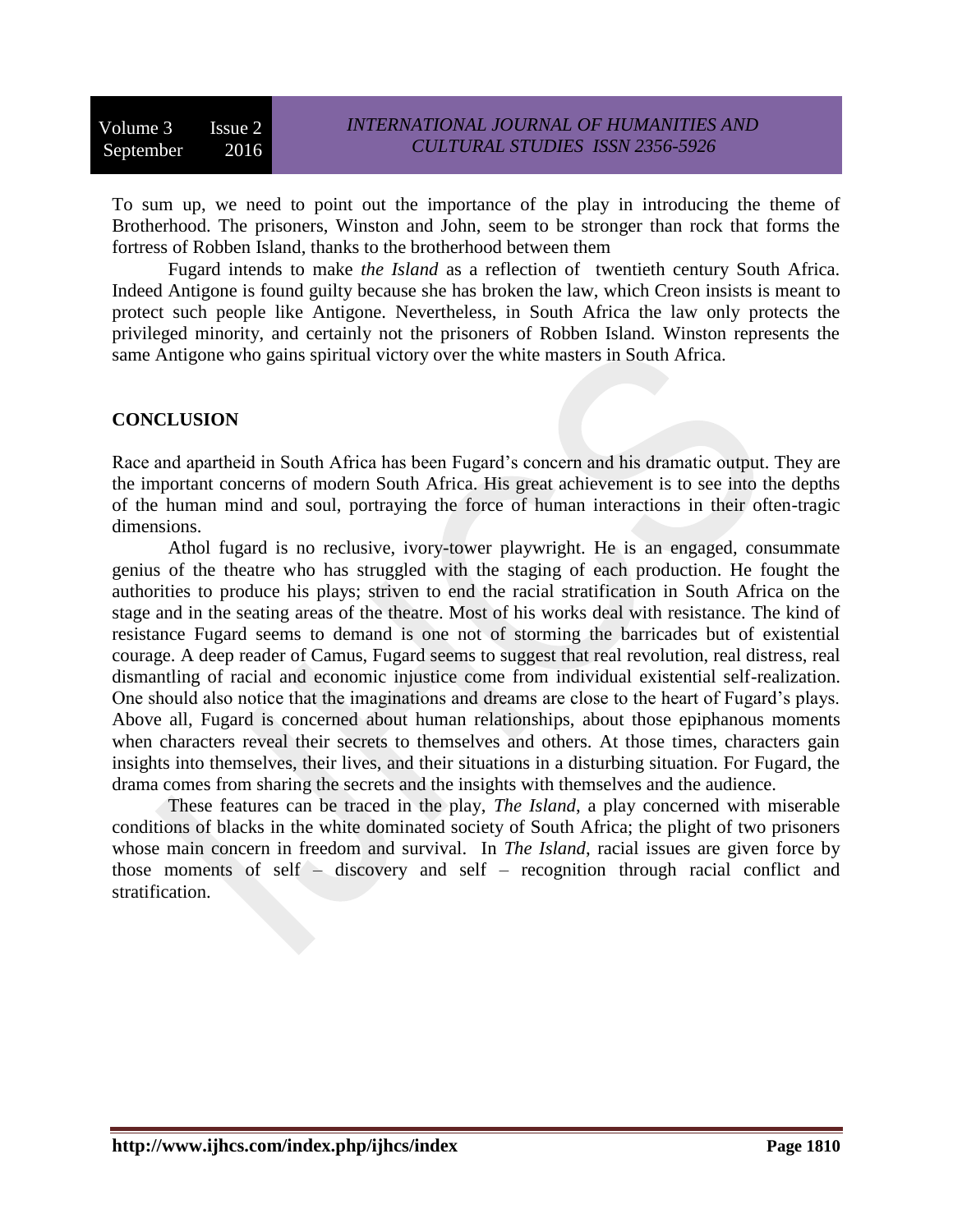To sum up, we need to point out the importance of the play in introducing the theme of Brotherhood. The prisoners, Winston and John, seem to be stronger than rock that forms the fortress of Robben Island, thanks to the brotherhood between them

Fugard intends to make *the Island* as a reflection of twentieth century South Africa. Indeed Antigone is found guilty because she has broken the law, which Creon insists is meant to protect such people like Antigone. Nevertheless, in South Africa the law only protects the privileged minority, and certainly not the prisoners of Robben Island. Winston represents the same Antigone who gains spiritual victory over the white masters in South Africa.

### **CONCLUSION**

Race and apartheid in South Africa has been Fugard's concern and his dramatic output. They are the important concerns of modern South Africa. His great achievement is to see into the depths of the human mind and soul, portraying the force of human interactions in their often-tragic dimensions.

Athol fugard is no reclusive, ivory-tower playwright. He is an engaged, consummate genius of the theatre who has struggled with the staging of each production. He fought the authorities to produce his plays; striven to end the racial stratification in South Africa on the stage and in the seating areas of the theatre. Most of his works deal with resistance. The kind of resistance Fugard seems to demand is one not of storming the barricades but of existential courage. A deep reader of Camus, Fugard seems to suggest that real revolution, real distress, real dismantling of racial and economic injustice come from individual existential self-realization. One should also notice that the imaginations and dreams are close to the heart of Fugard's plays. Above all, Fugard is concerned about human relationships, about those epiphanous moments when characters reveal their secrets to themselves and others. At those times, characters gain insights into themselves, their lives, and their situations in a disturbing situation. For Fugard, the drama comes from sharing the secrets and the insights with themselves and the audience.

These features can be traced in the play, *The Island*, a play concerned with miserable conditions of blacks in the white dominated society of South Africa; the plight of two prisoners whose main concern in freedom and survival. In *The Island*, racial issues are given force by those moments of self – discovery and self – recognition through racial conflict and stratification.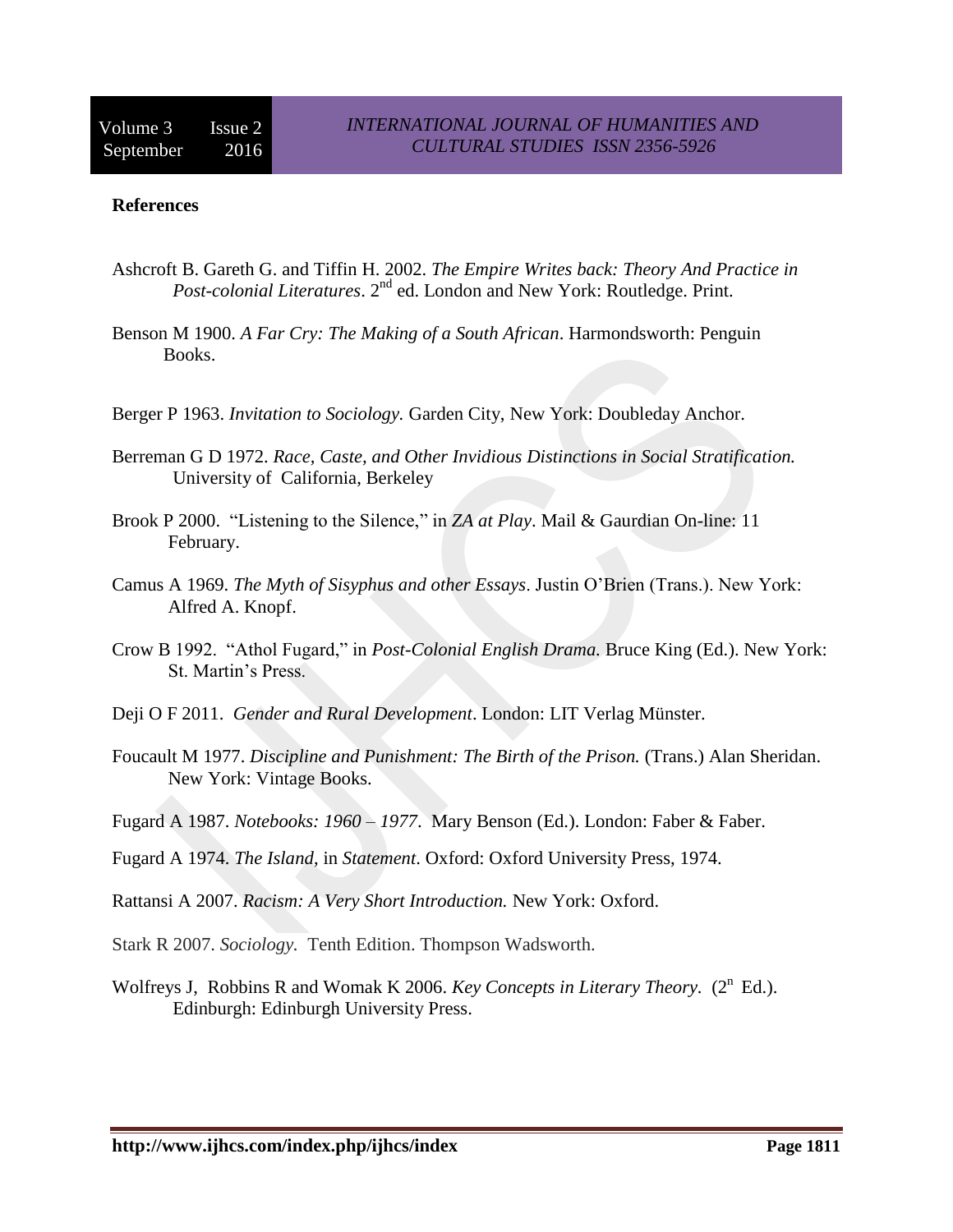#### **References**

- Ashcroft B. Gareth G. and Tiffin H. 2002. *The Empire Writes back: Theory And Practice in Post-colonial Literatures*. 2nd ed. London and New York: Routledge. Print.
- Benson M 1900. *A Far Cry: The Making of a South African*. Harmondsworth: Penguin Books.
- Berger P 1963. *Invitation to Sociology.* Garden City, New York: Doubleday Anchor.
- Berreman G D 1972. *Race, Caste, and Other Invidious Distinctions in Social Stratification.* University of California, Berkeley
- Brook P 2000. "Listening to the Silence," in *ZA at Play*. Mail & Gaurdian On-line: 11 February.
- Camus A 1969. *The Myth of Sisyphus and other Essays*. Justin O'Brien (Trans.). New York: Alfred A. Knopf.
- Crow B 1992. "Athol Fugard," in *Post-Colonial English Drama.* Bruce King (Ed.). New York: St. Martin's Press.
- Deji O F 2011. *Gender and Rural Development*. London: LIT Verlag Münster.
- Foucault M 1977. *Discipline and Punishment: The Birth of the Prison.* (Trans.) Alan Sheridan. New York: Vintage Books.
- Fugard A 1987. *Notebooks: 1960 – 1977*. Mary Benson (Ed.). London: Faber & Faber.
- Fugard A 1974. *The Island*, in *Statement*. Oxford: Oxford University Press, 1974.
- Rattansi A 2007. *Racism: A Very Short Introduction.* New York: Oxford.
- Stark R 2007. *Sociology.* Tenth Edition. Thompson Wadsworth.
- Wolfreys J, Robbins R and Womak K 2006. *Key Concepts in Literary Theory.* (2<sup>n</sup> Ed.). Edinburgh: Edinburgh University Press.